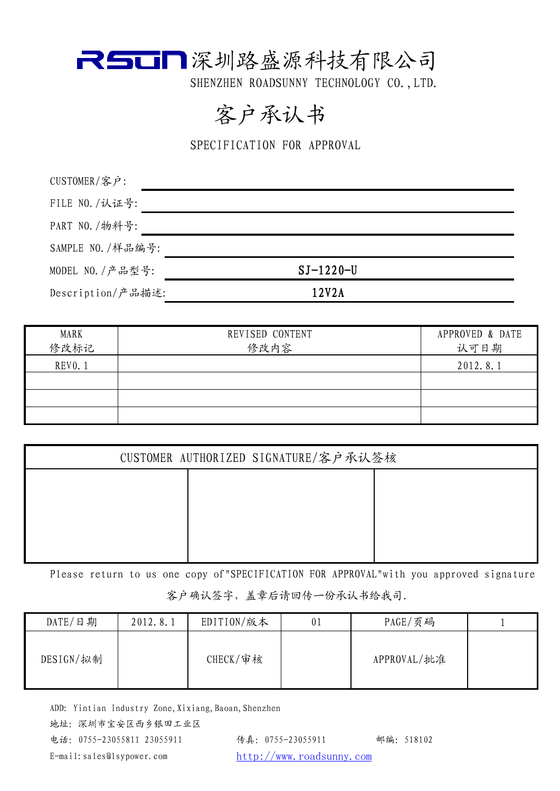

SHENZHEN ROADSUNNY TECHNOLOGY CO., LTD.

### 客户承认书

SPECIFICATION FOR APPROVAL

| CUSTOMER/客户:      |             |
|-------------------|-------------|
| FILE NO. /认证号:    |             |
| PART NO. /物料号:    |             |
| SAMPLE NO. /样品编号: |             |
| MODEL NO. / 产品型号: | $SI-1220-U$ |
| Description/产品描述: | 12V2A       |
|                   |             |

| MARK<br>修改标记   | REVISED CONTENT<br>修改内容 | APPROVED & DATE<br>认可日期 |
|----------------|-------------------------|-------------------------|
| <b>REVO. 1</b> |                         | 2012.8.1                |
|                |                         |                         |
|                |                         |                         |
|                |                         |                         |

| CUSTOMER AUTHORIZED SIGNATURE/客户承认签核 |  |  |  |
|--------------------------------------|--|--|--|
|                                      |  |  |  |
|                                      |  |  |  |
|                                      |  |  |  |
|                                      |  |  |  |

Please return to us one copy of"SPECIFICATION FOR APPROVAL"with you approved signature 客户确认签字,盖章后请回传一份承认书给我司.

| DATE/日期   | 2012.8.1 | EDITION/版本  | 0 <sub>1</sub> | PAGE/页码     |  |
|-----------|----------|-------------|----------------|-------------|--|
| DESIGN/拟制 |          | $CHECK/$ 审核 |                | APPROVAL/批准 |  |

ADD: Yintian Industry Zone, Xixiang, Baoan, Shenzhen

地址:深圳市宝安区西乡银田工业区

电话:0755-23055811 23055911 传真:0755-23055911 邮编:518102 E-mail:sales@lsypower.com http://www.roadsunny.com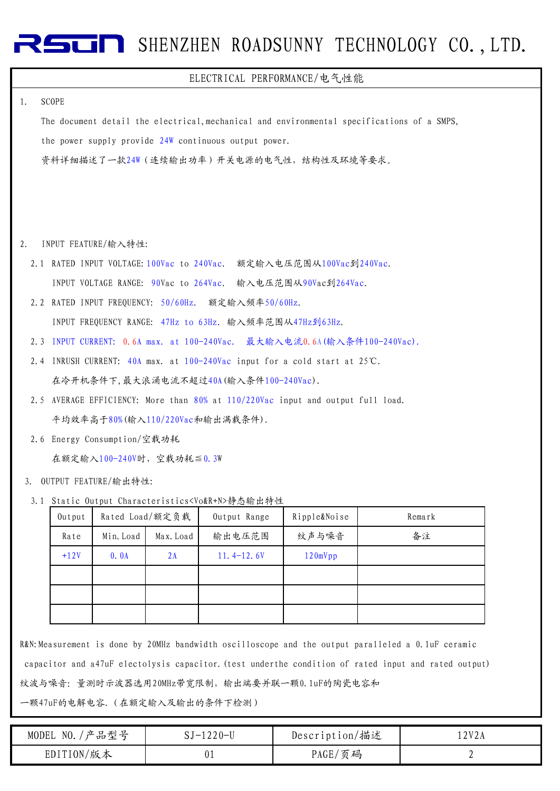# **RESCRIPT** SHENZHEN ROADSUNNY TECHNOLOGY CO., LTD.

#### ELECTRICAL PERFORMANCE/电气性能

#### 1. SCOPE

The document detail the electrical,mechanical and environmental specifications of a SMPS, the power supply provide 24W continuous output power. 资料详细描述了一款24W(连续输出功率)开关电源的电气性,结构性及环境等要求。

- 2. INPUT FEATURE/输入特性:
	- 2.1 RATED INPUT VOLTAGE:100Vac to 240Vac. 额定输入电压范围从100Vac到240Vac. INPUT VOLTAGE RANGE: 90Vac to 264Vac. 输入电压范围从90Vac到264Vac.
	- 2.2 RATED INPUT FREQUENCY: 50/60Hz. 额定输入频率50/60Hz.

INPUT FREQUENCY RANGE: 47Hz to 63Hz. 输入频率范围从47Hz到63Hz.

- 2.3 INPUT CURRENT: 0.6A max. at 100-240Vac. 最大输入电流0.6A(输入条件100-240Vac).
- 2.4 INRUSH CURRENT: 40A max. at 100-240Vac input for a cold start at 25℃. 在冷开机条件下,最大浪涌电流不超过40A(输入条件100-240Vac).
- 2.5 AVERAGE EFFICIENCY: More than 80% at 110/220Vac input and output full load. 平均效率高于80%(输入110/220Vac和输出满载条件).
- 2.6 Energy Consumption/空载功耗

在额定输入100-240V时,空载功耗≦0.3W

- OUTPUT FEATURE/输出特性: 3.
- 3.1 Static Output Characteristics<Vo&R+N>静态输出特性

| Output |           | Rated Load/额定负载 | Output Range   | Ripple&Noise | Remark |
|--------|-----------|-----------------|----------------|--------------|--------|
| Rate   | Min. Load | Max. Load       | 输出电压范围         | 纹声与噪音        | 备注     |
| $+12V$ | 0.0A      | 2A              | $11.4 - 12.6V$ | 120mVpp      |        |
|        |           |                 |                |              |        |
|        |           |                 |                |              |        |
|        |           |                 |                |              |        |

R&N:Measurement is done by 20MHz bandwidth oscilloscope and the output paralleled a 0.1uF ceramic capacitor and a47uF electolysis capacitor.(test underthe condition of rated input and rated output) 纹波与噪音: 量测时示波器选用20MHz带宽限制,输出端要并联一颗0.1uF的陶瓷电容和 一颗47uF的电解电容.(在额定输入及输出的条件下检测)

MODEL NO./产品型号 EDITION/版本 Description/描述 PAGE/页码 12V2A 2 SJ-1220-U 01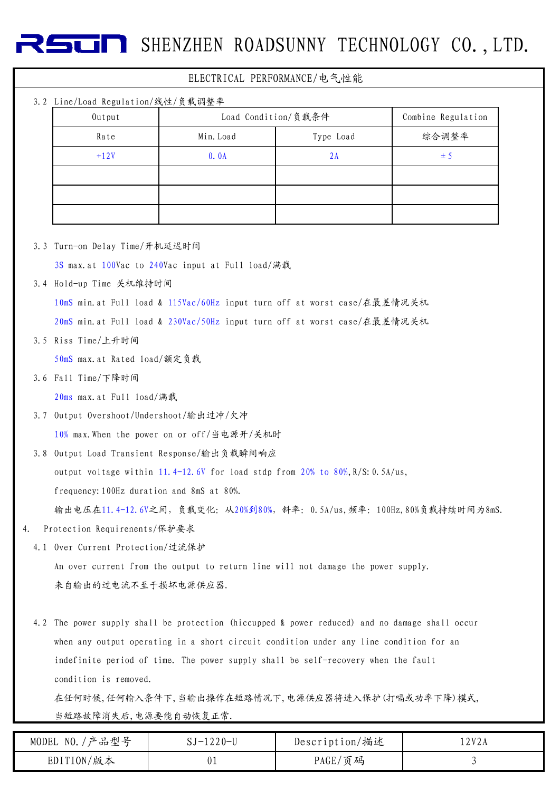**SHENZHEN ROADSUNNY TECHNOLOGY CO., LTD.** 

### 3.2 Line/Load Regulation/线性/负载调整率 3.3 Turn-on Delay Time/开机延迟时间 3S max.at 100Vac to 240Vac input at Full load/满载 3.4 Hold-up Time 关机维持时间 10mS min.at Full load & 115Vac/60Hz input turn off at worst case/在最差情况关机 20mS min.at Full load & 230Vac/50Hz input turn off at worst case/在最差情况关机 3.5 Riss Time/上升时间 50mS max.at Rated load/额定负载 3.6 Fall Time/下降时间 20ms max.at Full load/满载 3.7 Output Overshoot/Undershoot/输出过冲/欠冲 10% max.When the power on or off/当电源开/关机时 3.8 Output Load Transient Response/输出负载瞬间响应 output voltage within 11.4-12.6V for load stdp from  $20\%$  to  $80\%, R/S$ : 0.5A/us, frequency:100Hz duration and 8mS at 80%. 2A  $\pm 5$ Rate I Min.Load I Type Load Ship hate Ship Min.Load Type Load I 综合调整率 ELECTRICAL PERFORMANCE/电气性能 Output Load Condition/负载条件 Combine Regulation  $+12V$  0.0A

输出电压在11.4-12.6V之间,负载变化:从20%到80%,斜率:0.5A/us,频率:100Hz,80%负载持续时间为8mS.

4. Protection Requirenents/保护要求

4.1 Over Current Protection/过流保护 An over current from the output to return line will not damage the power supply. 来自输出的过电流不至于损坏电源供应器.

4.2 The power supply shall be protection (hiccupped & power reduced) and no damage shall occur when any output operating in a short circuit condition under any line condition for an indefinite period of time. The power supply shall be self-recovery when the fault condition is removed.

在任何时候,任何输入条件下,当输出操作在短路情况下,电源供应器将进入保护(打嗝或功率下降)模式, 当短路故障消失后,电源要能自动恢复正常.

| '产品型号<br>NO.<br><b>MODEL</b> | $220 - U$<br>$\cdots$<br>ບປ | Description/描述 | .2017<br>Y Z A |
|------------------------------|-----------------------------|----------------|----------------|
| 版本<br>EDITION,               | UΙ                          | 页码<br>PAGE     |                |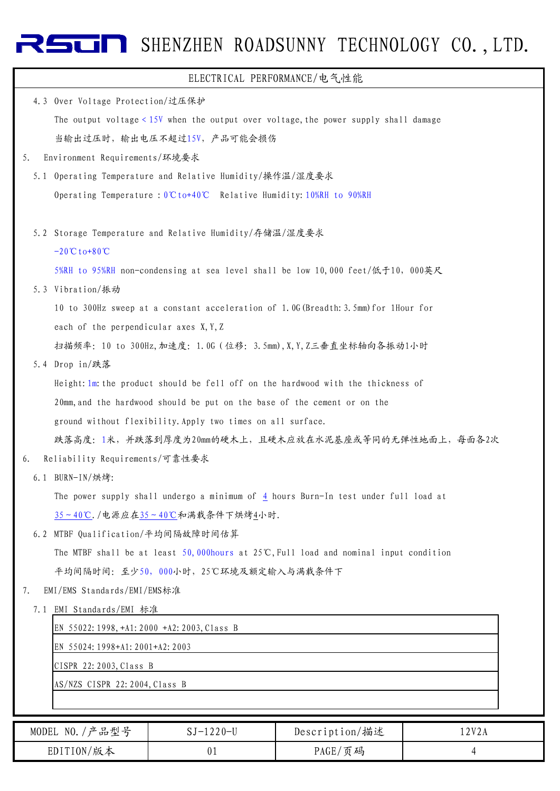# RSUN SHENZHEN ROADSUNNY TECHNOLOGY CO., LTD.

| ELECTRICAL PERFORMANCE/电气性能                                                                     |
|-------------------------------------------------------------------------------------------------|
| Over Voltage Protection/过压保护<br>4.3                                                             |
| The output voltage $< 15V$ when the output over voltage, the power supply shall damage          |
| 当输出过压时, 输出电压不超过15V, 产品可能会损伤                                                                     |
| Environment Requirements/环境要求<br>5.                                                             |
| 5.1 Operating Temperature and Relative Humidity/操作温/湿度要求                                        |
| Operating Temperature : $0^\circ \text{C}$ to+40°C Relative Humidity: 10%RH to 90%RH            |
|                                                                                                 |
| 5.2 Storage Temperature and Relative Humidity/存储温/湿度要求                                          |
| $-20C$ to $+80C$                                                                                |
| 5%RH to 95%RH non-condensing at sea level shall be low 10,000 feet/低于10, 000英尺                  |
| 5.3 Vibration/振动                                                                                |
| 10 to 300Hz sweep at a constant acceleration of 1.0G (Breadth: 3.5mm) for 1Hour for             |
| each of the perpendicular axes X, Y, Z                                                          |
| 扫描频率: 10 to 300Hz, 加速度: 1.0G (位移: 3.5mm), X, Y, Z三垂直坐标轴向各振动1小时                                  |
| 5.4 Drop in/跌落                                                                                  |
| Height: 1m: the product should be fell off on the hardwood with the thickness of                |
| 20mm, and the hardwood should be put on the base of the cement or on the                        |
| ground without flexibility. Apply two times on all surface.                                     |
| 跌落高度: 1米, 并跌落到厚度为20mm的硬木上, 且硬木应放在水泥基座或等同的无弹性地面上, 每面各2次                                          |
| Reliability Requirements/可靠性要求<br>6.                                                            |
| 6.1 BURN-IN/烘烤:                                                                                 |
| The power supply shall undergo a minimum of $\frac{4}{3}$ hours Burn-In test under full load at |
| 35~40℃./电源应在35~40℃和满载条件下烘烤4小时.                                                                  |
| 6.2 MTBF Qualification/平均间隔故障时间估算                                                               |
| The MTBF shall be at least 50,000hours at $25^{\circ}$ C, Full load and nominal input condition |
| 平均间隔时间: 至少50, 000小时, 25℃环境及额定输入与满载条件下                                                           |
| EMI/EMS Standards/EMI/EMS标准<br>7.                                                               |
| 7.1 EMI Standards/EMI 标准                                                                        |
| EN 55022:1998, +A1: 2000 +A2: 2003, Class B                                                     |
| EN 55024: 1998+A1: 2001+A2: 2003                                                                |
| CISPR 22:2003, Class B                                                                          |
| AS/NZS CISPR 22:2004, Class B                                                                   |
|                                                                                                 |

| 产品型号<br>NO.<br>MODEL | SJ-1220-U | Description/描述 | 2V2<br>2A<br>$\overline{ }$ |
|----------------------|-----------|----------------|-----------------------------|
| EDITION/版本           |           | PAGE/页码        |                             |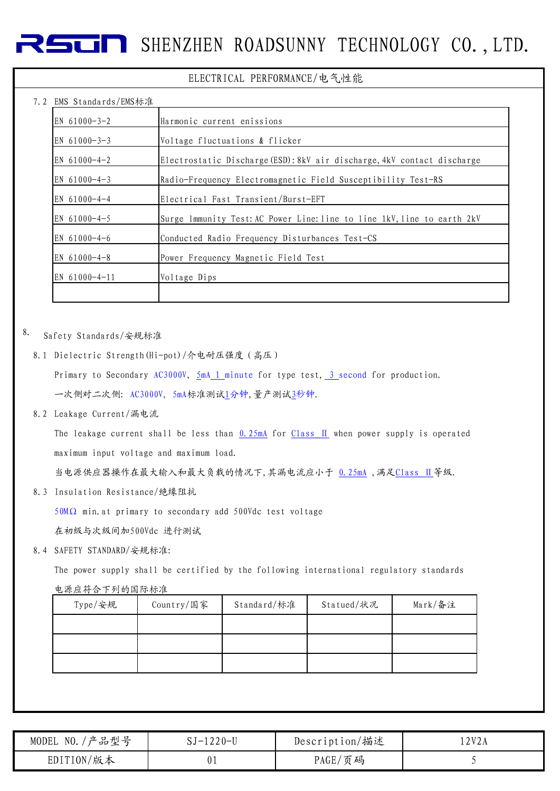### **SHENZHEN ROADSUNNY TECHNOLOGY CO., LTD.**

#### ELECTRICAL PERFORMANCE/电气性能

### $7.2$  EMS Standards/EMS $\div$

| LMD DIANUAIUS/LMD小/E |                                                                         |
|----------------------|-------------------------------------------------------------------------|
| EN $61000 - 3 - 2$   | Harmonic current enissions                                              |
| EN $61000 - 3 - 3$   | Voltage fluctuations & flicker                                          |
| EN $61000 - 4 - 2$   | Electrostatic Discharge (ESD): 8kV air discharge, 4kV contact discharge |
| EN $61000 - 4 - 3$   | Radio-Frequency Electromagnetic Field Susceptibility Test-RS            |
| EN 61000-4-4         | Electrical Fast Transient/Burst-EFT                                     |
| EN $61000 - 4 - 5$   | Surge lmmunity Test: AC Power Line: line to line 1kV, line to earth 2kV |
| EN $61000 - 4 - 6$   | Conducted Radio Frequency Disturbances Test-CS                          |
| EN $61000 - 4 - 8$   | Power Frequency Magnetic Field Test                                     |
| EN 61000-4-11        | Voltage Dips                                                            |
|                      |                                                                         |

#### 8. Safety Standards/安规标准

8.1 Dielectric Strength(Hi-pot)/介电耐压强度(高压)

Primary to Secondary AC3000V, 5mA 1 minute for type test, 3 second for production. 一次侧对二次侧: AC3000V, 5mA标准测试1分钟,量产测试3秒钟.

8.2 Leakage Current/漏电流

The leakage current shall be less than  $0.25mA$  for Class II when power supply is operated maximum input voltage and maximum load.

当电源供应器操作在最大输入和最大负载的情况下,其漏电流应小于 0.25mA ,满足Class Ⅱ等级.

8.3 Insulation Resistance/绝缘阻抗

50MΩ min.at primary to secondary add 500Vdc test voltage

在初级与次级间加500Vdc 进行测试

8.4 SAFETY STANDARD/安规标准:

The power supply shall be certified by the following international regulatory standards

电源应符合下列的国际标准

| Type/安规 | Country/国家 | Standard/标准 | Statued/状况 | Mark/备注 |
|---------|------------|-------------|------------|---------|
|         |            |             |            |         |
|         |            |             |            |         |
|         |            |             |            |         |

| 产品型号<br>NO.<br><b>MODEL</b> | ີ -1220−ບ | Description/描述 | 2V2A                  |
|-----------------------------|-----------|----------------|-----------------------|
| EDITION/版本                  | UΙ        | PAGE/页码        | $\tilde{\phantom{a}}$ |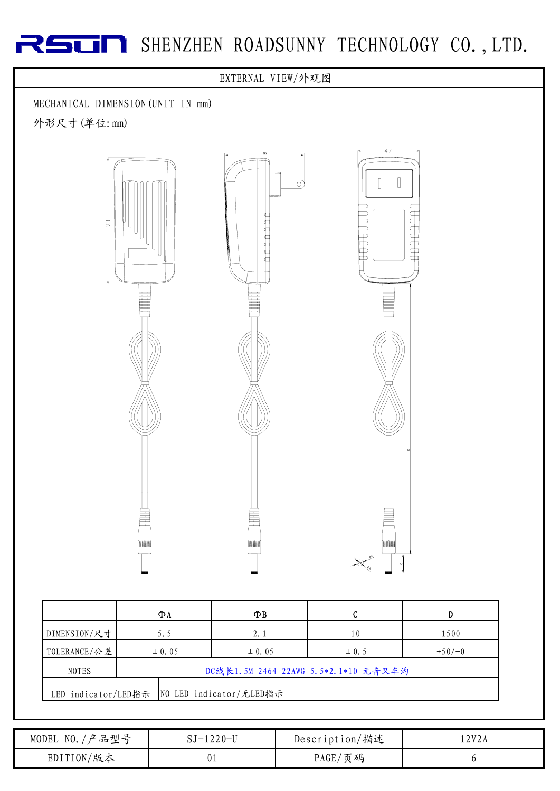## RSUN SHENZHEN ROADSUNNY TECHNOLOGY CO., LTD.



|                                                      | ФΛ         | ΦB         |           |          |
|------------------------------------------------------|------------|------------|-----------|----------|
| DIMENSION/尺寸                                         | 5.5        | 2.1        | 10        | 1500     |
| TOLERANCE/公差                                         | $\pm$ 0.05 | $\pm 0.05$ | $\pm$ 0.5 | $+50/-0$ |
| DC线长1.5M 2464 22AWG 5.5*2.1*10 无音叉车沟<br><b>NOTES</b> |            |            |           |          |
| NO LED indicator/无LED指示<br>LED indicator/LED指示       |            |            |           |          |

| '产品型号<br>NO.<br>MODEL | $220 - U$<br>$1 - 1$ | Description/描述 | 12V2A |
|-----------------------|----------------------|----------------|-------|
| EDITION/版本            | υ τ                  | PAGE/<br>页码    |       |